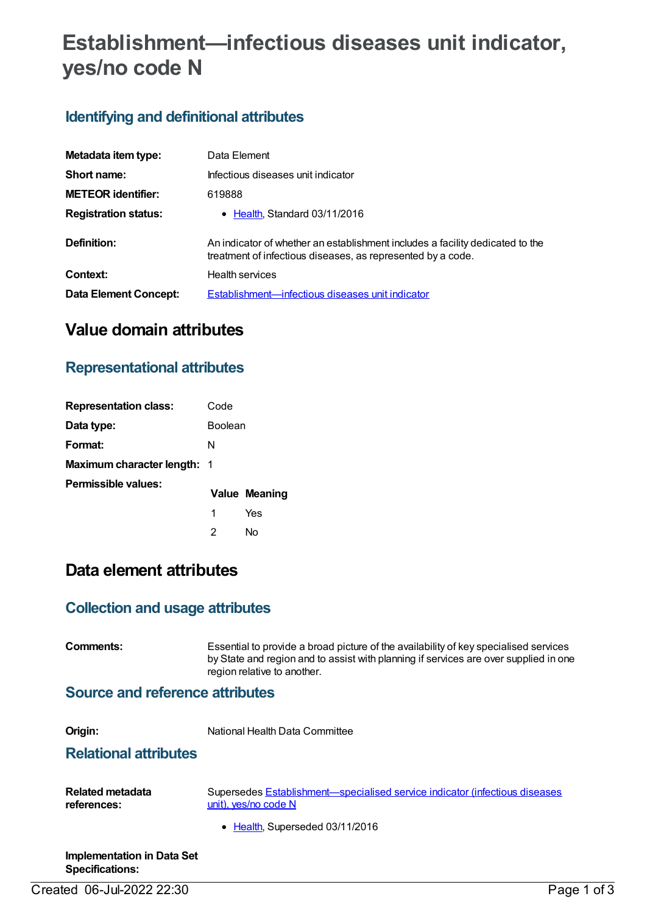# **Establishment—infectious diseases unit indicator, yes/no code N**

### **Identifying and definitional attributes**

| Metadata item type:         | Data Element                                                                                                                                 |
|-----------------------------|----------------------------------------------------------------------------------------------------------------------------------------------|
| Short name:                 | Infectious diseases unit indicator                                                                                                           |
| <b>METEOR identifier:</b>   | 619888                                                                                                                                       |
| <b>Registration status:</b> | • Health, Standard 03/11/2016                                                                                                                |
| Definition:                 | An indicator of whether an establishment includes a facility dedicated to the<br>treatment of infectious diseases, as represented by a code. |
| Context:                    | <b>Health services</b>                                                                                                                       |
| Data Element Concept:       | Establishment—infectious diseases unit indicator                                                                                             |

## **Value domain attributes**

### **Representational attributes**

| <b>Representation class:</b>       | Code           |                      |
|------------------------------------|----------------|----------------------|
| Data type:                         | <b>Boolean</b> |                      |
| Format:                            | N              |                      |
| <b>Maximum character length: 1</b> |                |                      |
| Permissible values:                |                | <b>Value Meaning</b> |
|                                    | 1              | Yes                  |
|                                    | 2              | Nο                   |

## **Data element attributes**

#### **Collection and usage attributes**

| Comments:                               | Essential to provide a broad picture of the availability of key specialised services<br>by State and region and to assist with planning if services are over supplied in one<br>region relative to another. |  |
|-----------------------------------------|-------------------------------------------------------------------------------------------------------------------------------------------------------------------------------------------------------------|--|
| Source and reference attributes         |                                                                                                                                                                                                             |  |
| Origin:<br><b>Relational attributes</b> | National Health Data Committee                                                                                                                                                                              |  |
| Related metadata<br>references:         | Supersedes Establishment—specialised service indicator (infectious diseases<br>unit), yes/no code N<br>• Health, Superseded 03/11/2016                                                                      |  |
| Implementation in Data Set              |                                                                                                                                                                                                             |  |

Created 06-Jul-2022 22:30 Page 1 of 3

**Specifications:**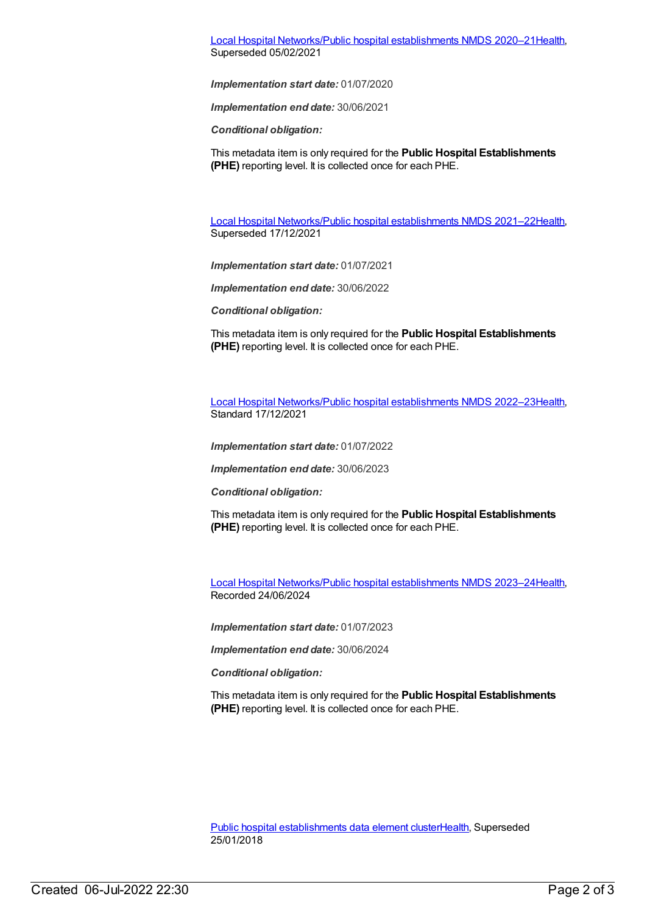Local Hospital [Networks/Public](https://meteor.aihw.gov.au/content/713848) hospital establishments NMDS 2020–21[Health](https://meteor.aihw.gov.au/RegistrationAuthority/12), Superseded 05/02/2021

*Implementation start date:* 01/07/2020

*Implementation end date:* 30/06/2021

*Conditional obligation:*

This metadata item is only required for the **Public Hospital Establishments (PHE)** reporting level. It is collected once for each PHE.

Local Hospital [Networks/Public](https://meteor.aihw.gov.au/content/727356) hospital establishments NMDS 2021–22[Health](https://meteor.aihw.gov.au/RegistrationAuthority/12), Superseded 17/12/2021

*Implementation start date:* 01/07/2021

*Implementation end date:* 30/06/2022

*Conditional obligation:*

This metadata item is only required for the **Public Hospital Establishments (PHE)** reporting level. It is collected once for each PHE.

Local Hospital [Networks/Public](https://meteor.aihw.gov.au/content/742044) hospital establishments NMDS 2022–23[Health](https://meteor.aihw.gov.au/RegistrationAuthority/12), Standard 17/12/2021

*Implementation start date:* 01/07/2022

*Implementation end date:* 30/06/2023

*Conditional obligation:*

This metadata item is only required for the **Public Hospital Establishments (PHE)** reporting level. It is collected once for each PHE.

Local Hospital [Networks/Public](https://meteor.aihw.gov.au/content/756101) hospital establishments NMDS 2023–24[Health](https://meteor.aihw.gov.au/RegistrationAuthority/12), Recorded 24/06/2024

*Implementation start date:* 01/07/2023

*Implementation end date:* 30/06/2024

*Conditional obligation:*

This metadata item is only required for the **Public Hospital Establishments (PHE)** reporting level. It is collected once for each PHE.

Public hospital [establishments](https://meteor.aihw.gov.au/content/643172) data element cluste[rHealth](https://meteor.aihw.gov.au/RegistrationAuthority/12), Superseded 25/01/2018